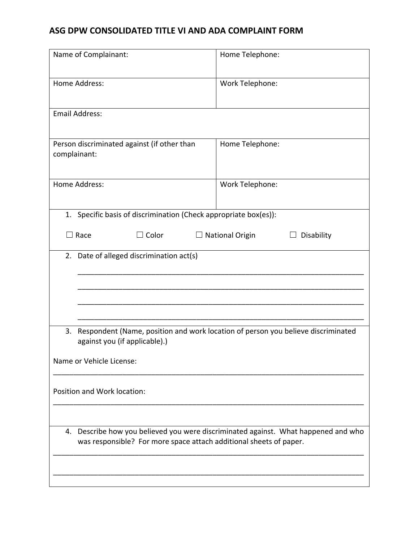## **ASG DPW CONSOLIDATED TITLE VI AND ADA COMPLAINT FORM**

| Name of Complainant:                                                                                                                                     | Home Telephone:                                |
|----------------------------------------------------------------------------------------------------------------------------------------------------------|------------------------------------------------|
| Home Address:                                                                                                                                            | Work Telephone:                                |
| <b>Email Address:</b>                                                                                                                                    |                                                |
| Person discriminated against (if other than<br>complainant:                                                                                              | Home Telephone:                                |
| <b>Home Address:</b>                                                                                                                                     | Work Telephone:                                |
| 1. Specific basis of discrimination (Check appropriate box(es)):                                                                                         |                                                |
| $\exists$ Race<br>$\Box$ Color                                                                                                                           | $\Box$ National Origin<br>Disability<br>$\Box$ |
| 2.<br>Date of alleged discrimination act(s)                                                                                                              |                                                |
|                                                                                                                                                          |                                                |
|                                                                                                                                                          |                                                |
| 3.<br>Respondent (Name, position and work location of person you believe discriminated<br>against you (if applicable).)                                  |                                                |
| Name or Vehicle License:                                                                                                                                 |                                                |
| Position and Work location:                                                                                                                              |                                                |
|                                                                                                                                                          |                                                |
| 4. Describe how you believed you were discriminated against. What happened and who<br>was responsible? For more space attach additional sheets of paper. |                                                |
|                                                                                                                                                          |                                                |
|                                                                                                                                                          |                                                |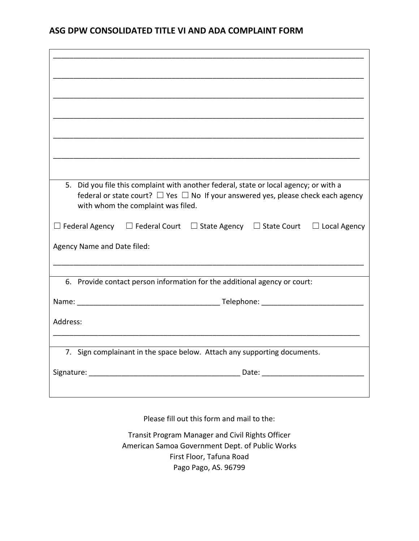## **ASG DPW CONSOLIDATED TITLE VI AND ADA COMPLAINT FORM**

| 5. Did you file this complaint with another federal, state or local agency; or with a<br>federal or state court? $\Box$ Yes $\Box$ No If your answered yes, please check each agency<br>with whom the complaint was filed. |
|----------------------------------------------------------------------------------------------------------------------------------------------------------------------------------------------------------------------------|
| $\Box$ Federal Agency $\Box$ Federal Court $\Box$ State Agency $\Box$ State Court $\Box$ Local Agency                                                                                                                      |
| Agency Name and Date filed:                                                                                                                                                                                                |
|                                                                                                                                                                                                                            |
| 6. Provide contact person information for the additional agency or court:                                                                                                                                                  |
|                                                                                                                                                                                                                            |
| Address:                                                                                                                                                                                                                   |
|                                                                                                                                                                                                                            |
| 7. Sign complainant in the space below. Attach any supporting documents.                                                                                                                                                   |
|                                                                                                                                                                                                                            |
|                                                                                                                                                                                                                            |
|                                                                                                                                                                                                                            |
|                                                                                                                                                                                                                            |

Please fill out this form and mail to the:

Transit Program Manager and Civil Rights Officer American Samoa Government Dept. of Public Works First Floor, Tafuna Road Pago Pago, AS. 96799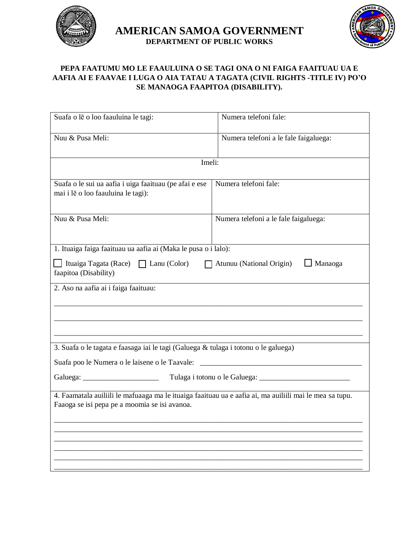

**AMERICAN SAMOA GOVERNMENT DEPARTMENT OF PUBLIC WORKS**



## **PEPA FAATUMU MO LE FAAULUINA O SE TAGI ONA O NI FAIGA FAAITUAU UA E AAFIA AI E FAAVAE I LUGA O AIA TATAU A TAGATA (CIVIL RIGHTS -TITLE IV) PO'O SE MANAOGA FAAPITOA (DISABILITY).**

| Suafa o le o loo faauluina le tagi:                                                                                                                                    | Numera telefoni fale:                 |  |
|------------------------------------------------------------------------------------------------------------------------------------------------------------------------|---------------------------------------|--|
| Nuu & Pusa Meli:                                                                                                                                                       | Numera telefoni a le fale faigaluega: |  |
| Imeli:                                                                                                                                                                 |                                       |  |
| Suafa o le sui ua aafia i uiga faaituau (pe afai e ese<br>mai i lē o loo faauluina le tagi):                                                                           | Numera telefoni fale:                 |  |
| Nuu & Pusa Meli:                                                                                                                                                       | Numera telefoni a le fale faigaluega: |  |
| 1. Ituaiga faiga faaituau ua aafia ai (Maka le pusa o i lalo):                                                                                                         |                                       |  |
| Ituaiga Tagata (Race) $\Box$ Lanu (Color)<br>$\Box$ Manaoga<br>Atunuu (National Origin)<br>faapitoa (Disability)                                                       |                                       |  |
| 2. Aso na aafia ai i faiga faaituau:                                                                                                                                   |                                       |  |
| 3. Suafa o le tagata e faasaga iai le tagi (Galuega & tulaga i totonu o le galuega)                                                                                    |                                       |  |
| Suafa poo le Numera o le laisene o le Taavale:<br><u> 1980 - Jan Barnett, mars eta bat erroman erroman erroman erroman erroman ez erroman erroman ez erroman ez er</u> |                                       |  |
|                                                                                                                                                                        |                                       |  |
| 4. Faamatala auiliili le mafuaaga ma le ituaiga faaituau ua e aafia ai, ma auiliili mai le mea sa tupu.<br>Faaoga se isi pepa pe a moomia se isi avanoa.               |                                       |  |
|                                                                                                                                                                        |                                       |  |
|                                                                                                                                                                        |                                       |  |